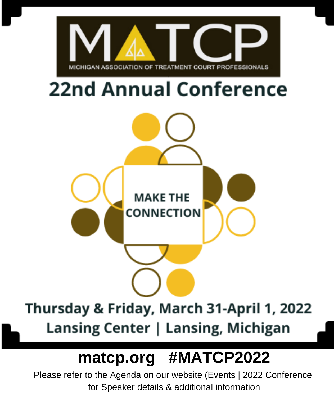

Please refer to the Agenda on our website (Events | 2022 Conference for Speaker details & additional information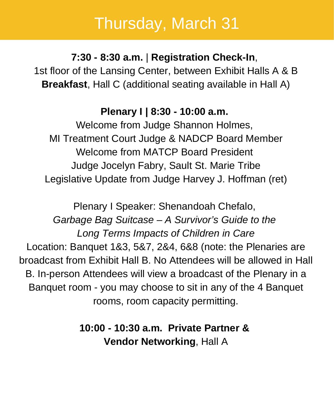**7:30 - 8:30 a.m.** | **Registration Check-In**, 1st floor of the Lansing Center, between Exhibit Halls A & B **Breakfast**, Hall C (additional seating available in Hall A)

#### **Plenary I | 8:30 - 10:00 a.m.**

Welcome from Judge Shannon Holmes, MI Treatment Court Judge & NADCP Board Member Welcome from MATCP Board President Judge Jocelyn Fabry, Sault St. Marie Tribe Legislative Update from Judge Harvey J. Hoffman (ret)

Plenary I Speaker: Shenandoah Chefalo, *Garbage Bag Suitcase – A Survivor's Guide to the Long Terms Impacts of Children in Care* Location: Banquet 1&3, 5&7, 2&4, 6&8 (note: the Plenaries are broadcast from Exhibit Hall B. No Attendees will be allowed in Hall B. In-person Attendees will view a broadcast of the Plenary in a Banquet room - you may choose to sit in any of the 4 Banquet rooms, room capacity permitting.

> **10:00 - 10:30 a.m. Private Partner & Vendor Networking**, Hall A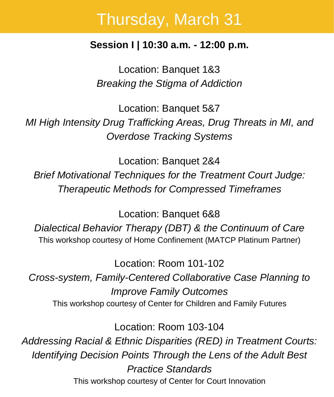#### **Session I | 10:30 a.m. - 12:00 p.m.**

Location: Banquet 1&3 *Breaking the Stigma of Addiction*

Location: Banquet 5&7 *MI High Intensity Drug Trafficking Areas, Drug Threats in MI, and Overdose Tracking Systems*

Location: Banquet 2&4 *Brief Motivational Techniques for the Treatment Court Judge: Therapeutic Methods for Compressed Timeframes*

Location: Banquet 6&8

*Dialectical Behavior Therapy (DBT) & the Continuum of Care* This workshop courtesy of Home Confinement (MATCP Platinum Partner)

Location: Room 101-102

*Cross-system, Family-Centered Collaborative Case Planning to Improve Family Outcomes* This workshop courtesy of Center for Children and Family Futures

Location: Room 103-104 *Addressing Racial & Ethnic Disparities (RED) in Treatment Courts: Identifying Decision Points Through the Lens of the Adult Best Practice Standards* This workshop courtesy of Center for Court Innovation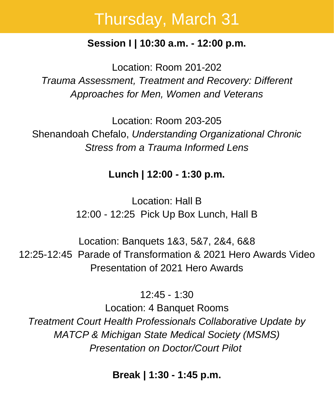#### **Session I | 10:30 a.m. - 12:00 p.m.**

Location: Room 201-202 *Trauma Assessment, Treatment and Recovery: Different Approaches for Men, Women and Veterans*

Location: Room 203-205 Shenandoah Chefalo, *Understanding Organizational Chronic Stress from a Trauma Informed Lens*

#### **Lunch | 12:00 - 1:30 p.m.**

Location: Hall B 12:00 - 12:25 Pick Up Box Lunch, Hall B

Location: Banquets 1&3, 5&7, 2&4, 6&8 12:25-12:45 Parade of Transformation & 2021 Hero Awards Video Presentation of 2021 Hero Awards

12:45 - 1:30

Location: 4 Banquet Rooms *Treatment Court Health Professionals Collaborative Update by MATCP & Michigan State Medical Society (MSMS) Presentation on Doctor/Court Pilot*

**Break | 1:30 - 1:45 p.m.**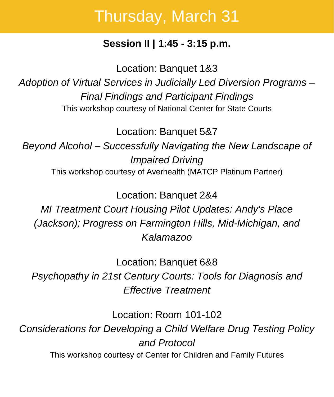#### **Session II | 1:45 - 3:15 p.m.**

Location: Banquet 1&3

*Adoption of Virtual Services in Judicially Led Diversion Programs – Final Findings and Participant Findings* This workshop courtesy of National Center for State Courts

Location: Banquet 5&7

*Beyond Alcohol – Successfully Navigating the New Landscape of Impaired Driving* This workshop courtesy of Averhealth (MATCP Platinum Partner)

Location: Banquet 2&4

*MI Treatment Court Housing Pilot Updates: Andy's Place (Jackson); Progress on Farmington Hills, Mid-Michigan, and Kalamazoo*

Location: Banquet 6&8

*Psychopathy in 21st Century Courts: Tools for Diagnosis and Effective Treatment*

Location: Room 101-102

*Considerations for Developing a Child Welfare Drug Testing Policy and Protocol* This workshop courtesy of [Center for Children and Family Futures](https://www.cffutures.org/)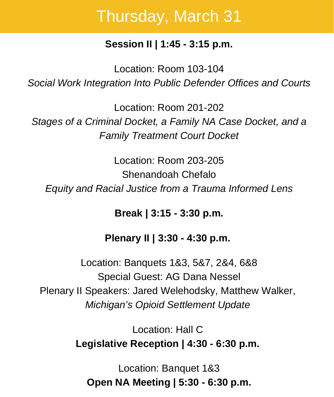#### **Session II | 1:45 - 3:15 p.m.**

Location: Room 103-104 *Social Work Integration Into Public Defender Offices and Courts*

Location: Room 201-202 *Stages of a Criminal Docket, a Family NA Case Docket, and a Family Treatment Court Docket*

Location: Room 203-205 Shenandoah Chefalo *Equity and Racial Justice from a Trauma Informed Lens*

**Break | 3:15 - 3:30 p.m.**

**Plenary II | 3:30 - 4:30 p.m.**

Location: Banquets 1&3, 5&7, 2&4, 6&8 Special Guest: AG Dana Nessel Plenary II Speakers: Jared Welehodsky, Matthew Walker, *Michigan's Opioid Settlement Update*

> Location: Hall C **Legislative Reception | 4:30 - 6:30 p.m.**

Location: Banquet 1&3 **Open NA Meeting | 5:30 - 6:30 p.m.**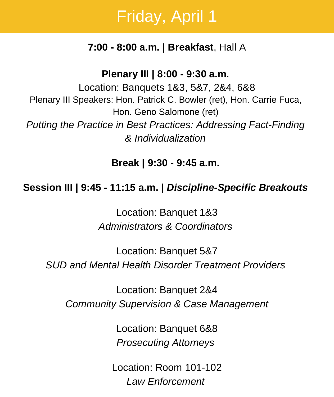#### **7:00 - 8:00 a.m. | Breakfast**, Hall A

**Plenary III | 8:00 - 9:30 a.m.**

Location: Banquets 1&3, 5&7, 2&4, 6&8 Plenary III Speakers: Hon. Patrick C. Bowler (ret), Hon. Carrie Fuca, Hon. Geno Salomone (ret) *Putting the Practice in Best Practices: Addressing Fact-Finding & Individualization*

**Break | 9:30 - 9:45 a.m.**

#### **Session III | 9:45 - 11:15 a.m. |** *Discipline-Specific Breakouts*

Location: Banquet 1&3 *Administrators & Coordinators*

Location: Banquet 5&7 *SUD and Mental Health Disorder Treatment Providers*

Location: Banquet 2&4 *Community Supervision & Case Management*

> Location: Banquet 6&8 *Prosecuting Attorneys*

Location: Room 101-102 *Law Enforcement*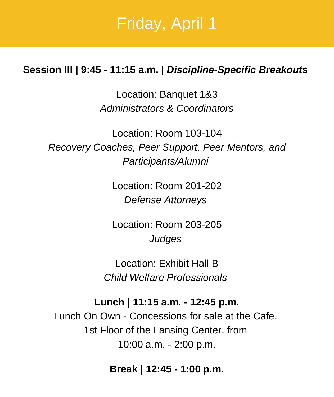#### **Session III | 9:45 - 11:15 a.m. |** *Discipline-Specific Breakouts*

Location: Banquet 1&3 *Administrators & Coordinators*

Location: Room 103-104 *Recovery Coaches, Peer Support, Peer Mentors, and Participants/Alumni*

> Location: Room 201-202 *Defense Attorneys*

> Location: Room 203-205 *Judges*

Location: Exhibit Hall B *Child Welfare Professionals*

**Lunch | 11:15 a.m. - 12:45 p.m.** Lunch On Own - Concessions for sale at the Cafe, 1st Floor of the Lansing Center, from 10:00 a.m. - 2:00 p.m.

**Break | 12:45 - 1:00 p.m.**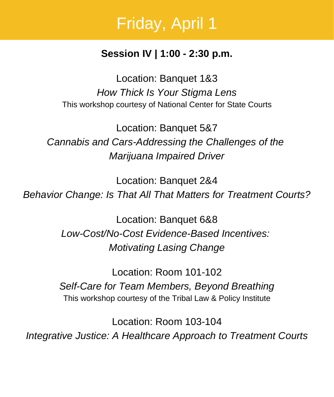#### **Session IV | 1:00 - 2:30 p.m.**

Location: Banquet 1&3 *How Thick Is Your Stigma Lens* This workshop courtesy of [National Center for State Courts](https://www.ncsc.org/)

Location: Banquet 5&7 *Cannabis and Cars-Addressing the Challenges of the Marijuana Impaired Driver*

Location: Banquet 2&4 *Behavior Change: Is That All That Matters for Treatment Courts?*

> Location: Banquet 6&8 *Low-Cost/No-Cost Evidence-Based Incentives: Motivating Lasing Change*

Location: Room 101-102 *Self-Care for Team Members, Beyond Breathing* This workshop courtesy of the [Tribal Law & Policy Institute](https://www.home.tlpi.org/)

Location: Room 103-104 *Integrative Justice: A Healthcare Approach to Treatment Courts*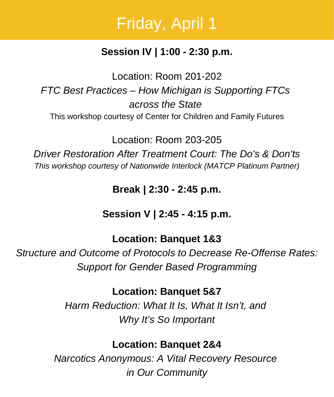#### **Session IV | 1:00 - 2:30 p.m.**

Location: Room 201-202 *FTC Best Practices – How Michigan is Supporting FTCs across the State* This workshop courtesy of [Center for Children and Family Futures](https://www.cffutures.org/)

Location: Room 203-205

*Driver Restoration After Treatment Court: The Do's & Don'ts This workshop courtesy of [Nationwide Interlock](https://www.nationwideinterlock.com/) (MATCP Platinum Partner)*

**Break | 2:30 - 2:45 p.m.**

**Session V | 2:45 - 4:15 p.m.**

#### **Location: Banquet 1&3**

*Structure and Outcome of Protocols to Decrease Re-Offense Rates: Support for Gender Based Programming*

**Location: Banquet 5&7**

*Harm Reduction: What It Is, What It Isn't, and Why It's So Important*

**Location: Banquet 2&4**

*Narcotics Anonymous: A Vital Recovery Resource in Our Community*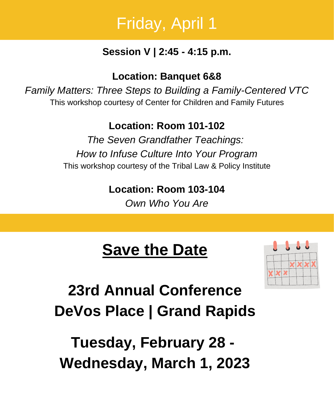#### **Session V | 2:45 - 4:15 p.m.**

**Location: Banquet 6&8**

*Family Matters: Three Steps to Building a Family-Centered VTC* This workshop courtesy of [Center for Children and Family Futures](https://www.cffutures.org/)

**Location: Room 101-102**

*The Seven Grandfather Teachings: How to Infuse Culture Into Your Program* This workshop courtesy of the [Tribal Law & Policy Institute](https://www.home.tlpi.org/)

**Location: Room 103-104**

*Own Who You Are*

## **Save the Date**



**23rd Annual Conference DeVos Place | Grand Rapids**

**Tuesday, February 28 - Wednesday, March 1, 2023**